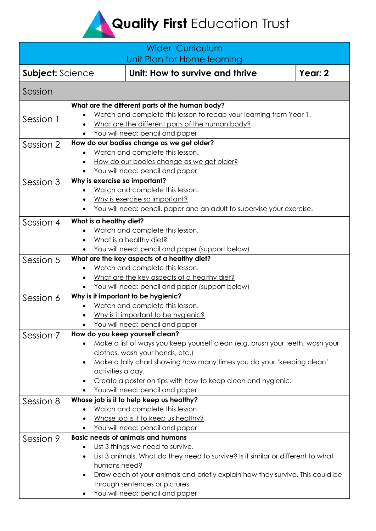Quality First Education Trust

| <b>Wider Curriculum</b> |                                                                                                                       |                                                                                  |         |
|-------------------------|-----------------------------------------------------------------------------------------------------------------------|----------------------------------------------------------------------------------|---------|
| <b>Subject: Science</b> |                                                                                                                       | Unit Plan for Home learning<br>Unit: How to survive and thrive                   | Year: 2 |
| Session                 |                                                                                                                       |                                                                                  |         |
|                         |                                                                                                                       |                                                                                  |         |
|                         | What are the different parts of the human body?<br>Watch and complete this lesson to recap your learning from Year 1. |                                                                                  |         |
| Session 1               |                                                                                                                       |                                                                                  |         |
|                         | $\bullet$                                                                                                             | What are the different parts of the human body?                                  |         |
|                         | You will need: pencil and paper                                                                                       |                                                                                  |         |
| Session 2               | How do our bodies change as we get older?<br>Watch and complete this lesson.                                          |                                                                                  |         |
|                         |                                                                                                                       | How do our bodies change as we get older?                                        |         |
|                         | $\bullet$                                                                                                             | You will need: pencil and paper                                                  |         |
| Session 3               | Why is exercise so important?                                                                                         |                                                                                  |         |
|                         | Watch and complete this lesson.                                                                                       |                                                                                  |         |
|                         |                                                                                                                       | Why is exercise so important?                                                    |         |
|                         | $\bullet$                                                                                                             | You will need: pencil, paper and an adult to supervise your exercise.            |         |
|                         |                                                                                                                       |                                                                                  |         |
| Session 4               | What is a healthy diet?<br>Watch and complete this lesson.                                                            |                                                                                  |         |
|                         |                                                                                                                       | What is a healthy diet?                                                          |         |
|                         |                                                                                                                       | You will need: pencil and paper (support below)                                  |         |
| Session 5               | What are the key aspects of a healthy diet?                                                                           |                                                                                  |         |
|                         | $\bullet$                                                                                                             | Watch and complete this lesson.                                                  |         |
|                         |                                                                                                                       | What are the key aspects of a healthy diet?                                      |         |
|                         |                                                                                                                       | You will need: pencil and paper (support below)                                  |         |
| Session 6               | Why is it important to be hygienic?                                                                                   |                                                                                  |         |
|                         |                                                                                                                       | Watch and complete this lesson.                                                  |         |
|                         |                                                                                                                       | Why is it important to be hygienic?                                              |         |
|                         |                                                                                                                       | You will need: pencil and paper                                                  |         |
| Session 7               | How do you keep yourself clean?                                                                                       |                                                                                  |         |
|                         |                                                                                                                       | Make a list of ways you keep yourself clean (e.g. brush your teeth, wash your    |         |
|                         |                                                                                                                       | clothes, wash your hands, etc.)                                                  |         |
|                         |                                                                                                                       | Make a tally chart showing how many times you do your 'keeping clean'            |         |
|                         | activities a day.                                                                                                     |                                                                                  |         |
|                         |                                                                                                                       | Create a poster on tips with how to keep clean and hygienic.                     |         |
|                         |                                                                                                                       | You will need: pencil and paper                                                  |         |
| Session 8               |                                                                                                                       | Whose job is it to help keep us healthy?                                         |         |
|                         |                                                                                                                       | Watch and complete this lesson.                                                  |         |
|                         |                                                                                                                       | Whose job is it to keep us healthy?<br>You will need: pencil and paper           |         |
| Session 9               |                                                                                                                       |                                                                                  |         |
|                         | <b>Basic needs of animals and humans</b><br>List 3 things we need to survive.<br>$\bullet$                            |                                                                                  |         |
|                         |                                                                                                                       | List 3 animals. What do they need to survive? Is it similar or different to what |         |
|                         | humans need?                                                                                                          |                                                                                  |         |
|                         |                                                                                                                       | Draw each of your animals and briefly explain how they survive. This could be    |         |
|                         |                                                                                                                       | through sentences or pictures.                                                   |         |
|                         |                                                                                                                       | You will need: pencil and paper                                                  |         |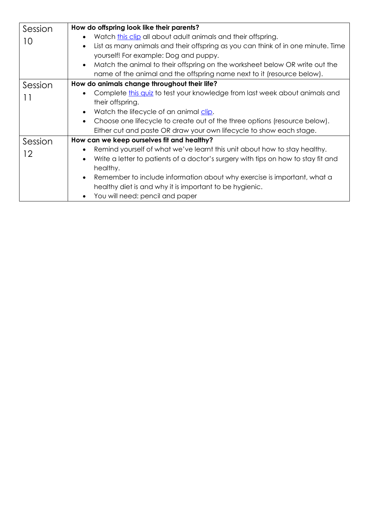| Session | How do offspring look like their parents?                                                      |  |  |
|---------|------------------------------------------------------------------------------------------------|--|--|
| 10      | Watch this clip all about adult animals and their offspring.<br>$\bullet$                      |  |  |
|         | List as many animals and their offspring as you can think of in one minute. Time<br>$\bullet$  |  |  |
|         | yourself! For example: Dog and puppy.                                                          |  |  |
|         | Match the animal to their offspring on the worksheet below OR write out the<br>$\bullet$       |  |  |
|         | name of the animal and the offspring name next to it (resource below).                         |  |  |
| Session | How do animals change throughout their life?                                                   |  |  |
| 11      | Complete this quiz to test your knowledge from last week about animals and<br>$\bullet$        |  |  |
|         | their offspring.                                                                               |  |  |
|         | Watch the lifecycle of an animal clip.<br>$\bullet$                                            |  |  |
|         | Choose one lifecycle to create out of the three options (resource below).<br>$\bullet$         |  |  |
|         | Either cut and paste OR draw your own lifecycle to show each stage.                            |  |  |
| Session | How can we keep ourselves fit and healthy?                                                     |  |  |
| 12      | Remind yourself of what we've learnt this unit about how to stay healthy.<br>$\bullet$         |  |  |
|         | Write a letter to patients of a doctor's surgery with tips on how to stay fit and<br>$\bullet$ |  |  |
|         | healthy.                                                                                       |  |  |
|         | Remember to include information about why exercise is important, what a<br>$\bullet$           |  |  |
|         | healthy diet is and why it is important to be hygienic.                                        |  |  |
|         | You will need: pencil and paper                                                                |  |  |
|         |                                                                                                |  |  |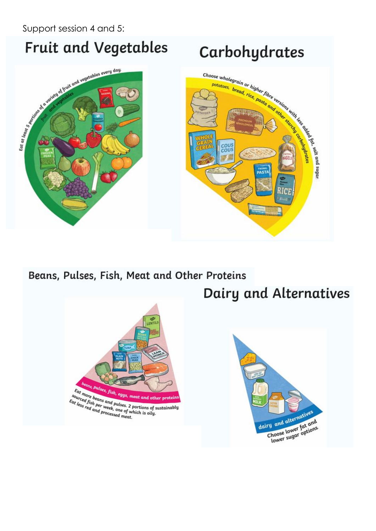### Support session 4 and 5:

# Fruit and Vegetables



# **Choose wholegrain or higher like key includes** the protections of the protection of the protection of the construction of the construction of the construction of the construction of the construction of the construction of

### Beans, Pulses, Fish, Meat and Other Proteins



# Dairy and Alternatives

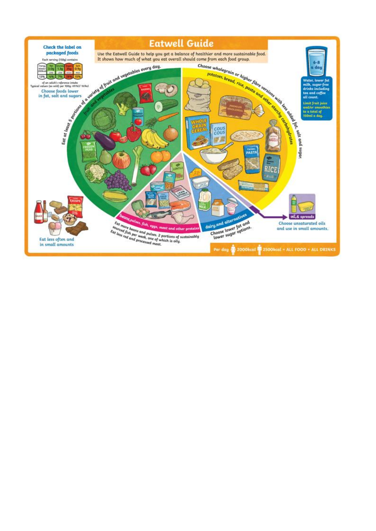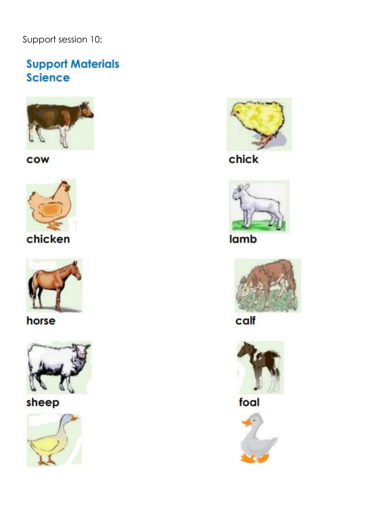### Support session 10:

## **Support Materials Science**



cow



chicken



horse



sheep





chick



lamb



calf



foal

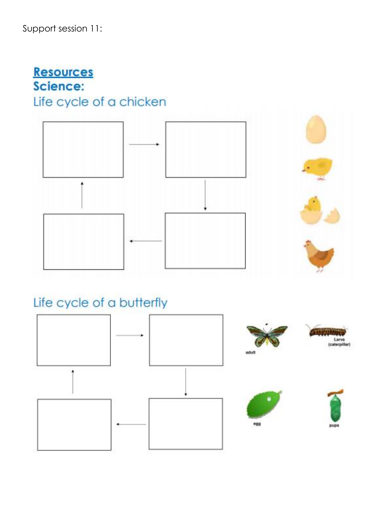# **Resources** Science: Life cycle of a chicken



# Life cycle of a butterfly





Larva (caterpillar)